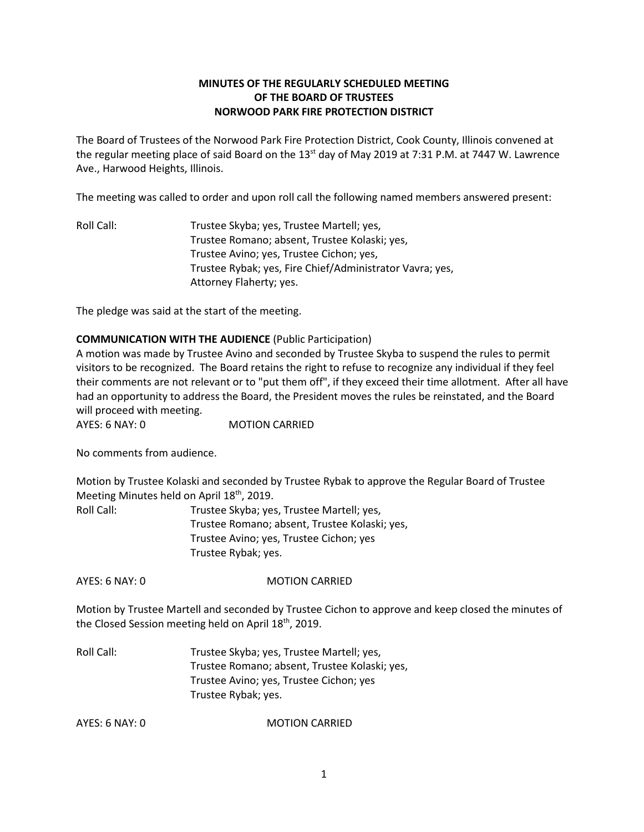# **MINUTES OF THE REGULARLY SCHEDULED MEETING OF THE BOARD OF TRUSTEES NORWOOD PARK FIRE PROTECTION DISTRICT**

The Board of Trustees of the Norwood Park Fire Protection District, Cook County, Illinois convened at the regular meeting place of said Board on the 13<sup>st</sup> day of May 2019 at 7:31 P.M. at 7447 W. Lawrence Ave., Harwood Heights, Illinois.

The meeting was called to order and upon roll call the following named members answered present:

Roll Call: Trustee Skyba; yes, Trustee Martell; yes, Trustee Romano; absent, Trustee Kolaski; yes, Trustee Avino; yes, Trustee Cichon; yes, Trustee Rybak; yes, Fire Chief/Administrator Vavra; yes, Attorney Flaherty; yes.

The pledge was said at the start of the meeting.

## **COMMUNICATION WITH THE AUDIENCE** (Public Participation)

A motion was made by Trustee Avino and seconded by Trustee Skyba to suspend the rules to permit visitors to be recognized. The Board retains the right to refuse to recognize any individual if they feel their comments are not relevant or to "put them off", if they exceed their time allotment. After all have had an opportunity to address the Board, the President moves the rules be reinstated, and the Board will proceed with meeting.

AYES: 6 NAY: 0 MOTION CARRIED

No comments from audience.

Motion by Trustee Kolaski and seconded by Trustee Rybak to approve the Regular Board of Trustee Meeting Minutes held on April 18<sup>th</sup>, 2019.

| Roll Call: | Trustee Skyba; yes, Trustee Martell; yes,     |
|------------|-----------------------------------------------|
|            | Trustee Romano; absent, Trustee Kolaski; yes, |
|            | Trustee Avino; yes, Trustee Cichon; yes       |
|            | Trustee Rybak; yes.                           |

AYES: 6 NAY: 0 MOTION CARRIED

Motion by Trustee Martell and seconded by Trustee Cichon to approve and keep closed the minutes of the Closed Session meeting held on April 18<sup>th</sup>, 2019.

Roll Call: Trustee Skyba; yes, Trustee Martell; yes, Trustee Romano; absent, Trustee Kolaski; yes, Trustee Avino; yes, Trustee Cichon; yes Trustee Rybak; yes.

AYES: 6 NAY: 0 MOTION CARRIED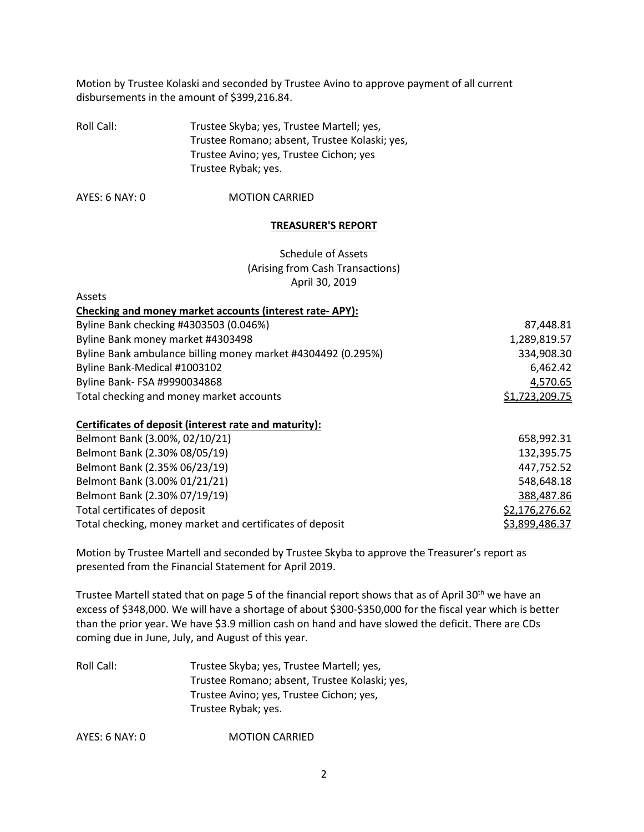Motion by Trustee Kolaski and seconded by Trustee Avino to approve payment of all current disbursements in the amount of \$399,216.84.

Roll Call: Trustee Skyba; yes, Trustee Martell; yes, Trustee Romano; absent, Trustee Kolaski; yes, Trustee Avino; yes, Trustee Cichon; yes Trustee Rybak; yes.

AYES: 6 NAY: 0 MOTION CARRIED

#### **TREASURER'S REPORT**

Schedule of Assets (Arising from Cash Transactions) April 30, 2019

| Assets                                                       |                |
|--------------------------------------------------------------|----------------|
| Checking and money market accounts (interest rate-APY):      |                |
| Byline Bank checking #4303503 (0.046%)                       | 87,448.81      |
| Byline Bank money market #4303498                            | 1,289,819.57   |
| Byline Bank ambulance billing money market #4304492 (0.295%) | 334,908.30     |
| Byline Bank-Medical #1003102                                 | 6,462.42       |
| Byline Bank- FSA #9990034868                                 | 4,570.65       |
| Total checking and money market accounts                     | \$1,723,209.75 |
| Certificates of deposit (interest rate and maturity):        |                |
| Belmont Bank (3.00%, 02/10/21)                               | 658,992.31     |
| Belmont Bank (2.30% 08/05/19)                                | 132,395.75     |
| Belmont Bank (2.35% 06/23/19)                                | 447,752.52     |
| Belmont Bank (3.00% 01/21/21)                                | 548,648.18     |

Belmont Bank (2.30% 07/19/19) 388,487.86

Total certificates of deposit  $$2,176,276.62$ Total checking, money market and certificates of deposit  $\frac{\$3,899,486.37}{\$3,899,486.37}$ 

Motion by Trustee Martell and seconded by Trustee Skyba to approve the Treasurer's report as presented from the Financial Statement for April 2019.

Trustee Martell stated that on page 5 of the financial report shows that as of April 30<sup>th</sup> we have an excess of \$348,000. We will have a shortage of about \$300-\$350,000 for the fiscal year which is better than the prior year. We have \$3.9 million cash on hand and have slowed the deficit. There are CDs coming due in June, July, and August of this year.

Roll Call: Trustee Skyba; yes, Trustee Martell; yes, Trustee Romano; absent, Trustee Kolaski; yes, Trustee Avino; yes, Trustee Cichon; yes, Trustee Rybak; yes.

AYES: 6 NAY: 0 MOTION CARRIED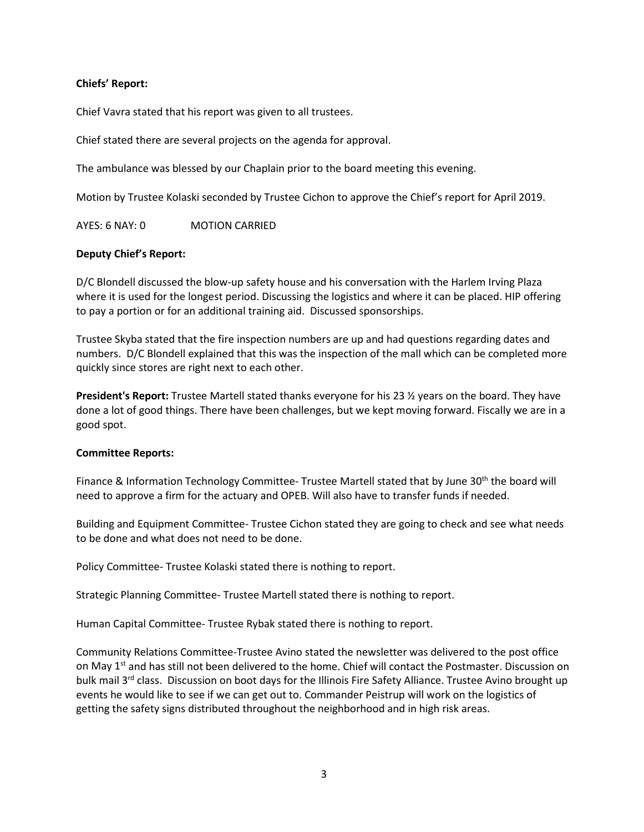## **Chiefs' Report:**

Chief Vavra stated that his report was given to all trustees.

Chief stated there are several projects on the agenda for approval.

The ambulance was blessed by our Chaplain prior to the board meeting this evening.

Motion by Trustee Kolaski seconded by Trustee Cichon to approve the Chief's report for April 2019.

AYES: 6 NAY: 0 MOTION CARRIED

# **Deputy Chief's Report:**

D/C Blondell discussed the blow-up safety house and his conversation with the Harlem Irving Plaza where it is used for the longest period. Discussing the logistics and where it can be placed. HIP offering to pay a portion or for an additional training aid. Discussed sponsorships.

Trustee Skyba stated that the fire inspection numbers are up and had questions regarding dates and numbers. D/C Blondell explained that this was the inspection of the mall which can be completed more quickly since stores are right next to each other.

**President's Report:** Trustee Martell stated thanks everyone for his 23 ½ years on the board. They have done a lot of good things. There have been challenges, but we kept moving forward. Fiscally we are in a good spot.

## **Committee Reports:**

Finance & Information Technology Committee- Trustee Martell stated that by June 30<sup>th</sup> the board will need to approve a firm for the actuary and OPEB. Will also have to transfer funds if needed.

Building and Equipment Committee- Trustee Cichon stated they are going to check and see what needs to be done and what does not need to be done.

Policy Committee- Trustee Kolaski stated there is nothing to report.

Strategic Planning Committee- Trustee Martell stated there is nothing to report.

Human Capital Committee- Trustee Rybak stated there is nothing to report.

Community Relations Committee-Trustee Avino stated the newsletter was delivered to the post office on May 1<sup>st</sup> and has still not been delivered to the home. Chief will contact the Postmaster. Discussion on bulk mail 3<sup>rd</sup> class. Discussion on boot days for the Illinois Fire Safety Alliance. Trustee Avino brought up events he would like to see if we can get out to. Commander Peistrup will work on the logistics of getting the safety signs distributed throughout the neighborhood and in high risk areas.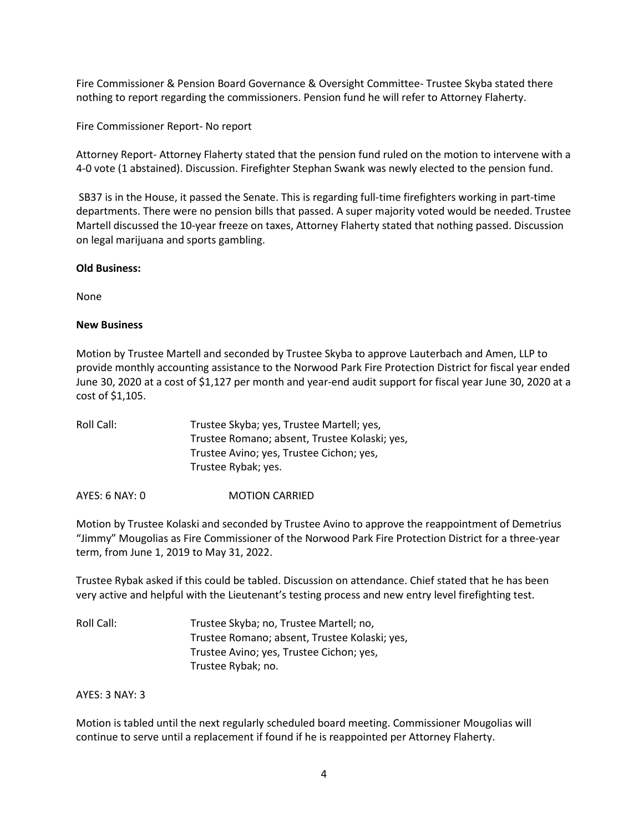Fire Commissioner & Pension Board Governance & Oversight Committee- Trustee Skyba stated there nothing to report regarding the commissioners. Pension fund he will refer to Attorney Flaherty.

Fire Commissioner Report- No report

Attorney Report- Attorney Flaherty stated that the pension fund ruled on the motion to intervene with a 4-0 vote (1 abstained). Discussion. Firefighter Stephan Swank was newly elected to the pension fund.

SB37 is in the House, it passed the Senate. This is regarding full-time firefighters working in part-time departments. There were no pension bills that passed. A super majority voted would be needed. Trustee Martell discussed the 10-year freeze on taxes, Attorney Flaherty stated that nothing passed. Discussion on legal marijuana and sports gambling.

#### **Old Business:**

None

## **New Business**

Motion by Trustee Martell and seconded by Trustee Skyba to approve Lauterbach and Amen, LLP to provide monthly accounting assistance to the Norwood Park Fire Protection District for fiscal year ended June 30, 2020 at a cost of \$1,127 per month and year-end audit support for fiscal year June 30, 2020 at a cost of \$1,105.

| Roll Call: | Trustee Skyba; yes, Trustee Martell; yes,     |
|------------|-----------------------------------------------|
|            | Trustee Romano; absent, Trustee Kolaski; yes, |
|            | Trustee Avino; yes, Trustee Cichon; yes,      |
|            | Trustee Rybak; yes.                           |
|            |                                               |

AYES: 6 NAY: 0 **MOTION CARRIED** 

Motion by Trustee Kolaski and seconded by Trustee Avino to approve the reappointment of Demetrius "Jimmy" Mougolias as Fire Commissioner of the Norwood Park Fire Protection District for a three-year term, from June 1, 2019 to May 31, 2022.

Trustee Rybak asked if this could be tabled. Discussion on attendance. Chief stated that he has been very active and helpful with the Lieutenant's testing process and new entry level firefighting test.

Roll Call: Trustee Skyba; no, Trustee Martell; no, Trustee Romano; absent, Trustee Kolaski; yes, Trustee Avino; yes, Trustee Cichon; yes, Trustee Rybak; no.

## AYES: 3 NAY: 3

Motion is tabled until the next regularly scheduled board meeting. Commissioner Mougolias will continue to serve until a replacement if found if he is reappointed per Attorney Flaherty.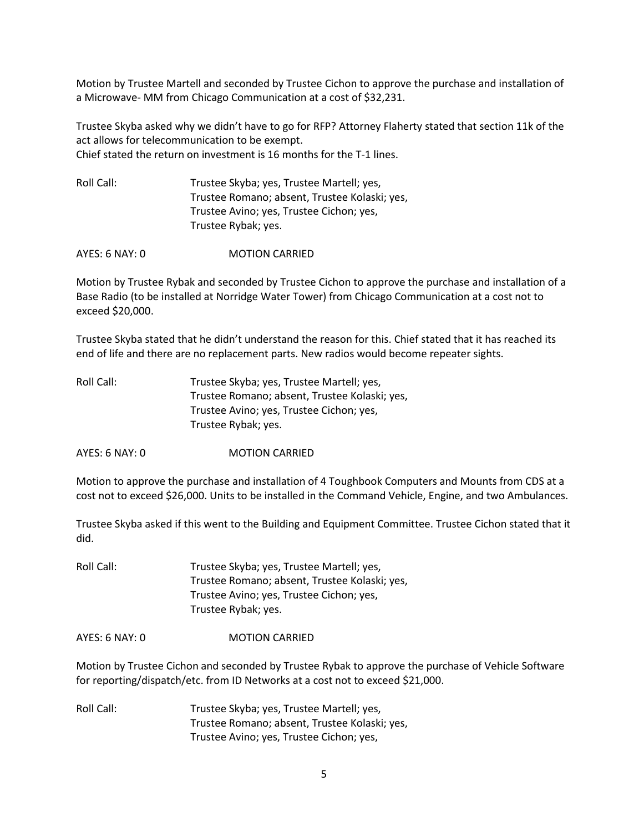Motion by Trustee Martell and seconded by Trustee Cichon to approve the purchase and installation of a Microwave- MM from Chicago Communication at a cost of \$32,231.

Trustee Skyba asked why we didn't have to go for RFP? Attorney Flaherty stated that section 11k of the act allows for telecommunication to be exempt. Chief stated the return on investment is 16 months for the T-1 lines.

| Roll Call: | Trustee Skyba; yes, Trustee Martell; yes,     |
|------------|-----------------------------------------------|
|            | Trustee Romano; absent, Trustee Kolaski; yes, |
|            | Trustee Avino; yes, Trustee Cichon; yes,      |
|            | Trustee Rybak; yes.                           |

AYES: 6 NAY: 0 MOTION CARRIED

Motion by Trustee Rybak and seconded by Trustee Cichon to approve the purchase and installation of a Base Radio (to be installed at Norridge Water Tower) from Chicago Communication at a cost not to exceed \$20,000.

Trustee Skyba stated that he didn't understand the reason for this. Chief stated that it has reached its end of life and there are no replacement parts. New radios would become repeater sights.

| Trustee Skyba; yes, Trustee Martell; yes,     |
|-----------------------------------------------|
| Trustee Romano; absent, Trustee Kolaski; yes, |
| Trustee Avino; yes, Trustee Cichon; yes,      |
| Trustee Rybak; yes.                           |
|                                               |

AYES: 6 NAY: 0 MOTION CARRIED

Motion to approve the purchase and installation of 4 Toughbook Computers and Mounts from CDS at a cost not to exceed \$26,000. Units to be installed in the Command Vehicle, Engine, and two Ambulances.

Trustee Skyba asked if this went to the Building and Equipment Committee. Trustee Cichon stated that it did.

| Roll Call: | Trustee Skyba; yes, Trustee Martell; yes,     |
|------------|-----------------------------------------------|
|            | Trustee Romano; absent, Trustee Kolaski; yes, |
|            | Trustee Avino; yes, Trustee Cichon; yes,      |
|            | Trustee Rybak; yes.                           |

AYES: 6 NAY: 0 **MOTION CARRIED** 

Motion by Trustee Cichon and seconded by Trustee Rybak to approve the purchase of Vehicle Software for reporting/dispatch/etc. from ID Networks at a cost not to exceed \$21,000.

Roll Call: Trustee Skyba; yes, Trustee Martell; yes, Trustee Romano; absent, Trustee Kolaski; yes, Trustee Avino; yes, Trustee Cichon; yes,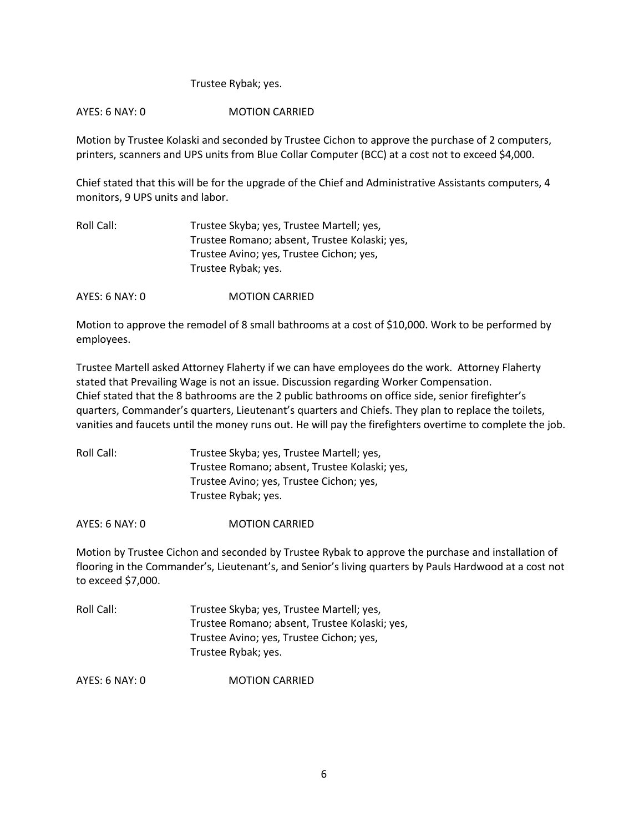## Trustee Rybak; yes.

## AYES: 6 NAY: 0 MOTION CARRIED

Motion by Trustee Kolaski and seconded by Trustee Cichon to approve the purchase of 2 computers, printers, scanners and UPS units from Blue Collar Computer (BCC) at a cost not to exceed \$4,000.

Chief stated that this will be for the upgrade of the Chief and Administrative Assistants computers, 4 monitors, 9 UPS units and labor.

| Trustee Skyba; yes, Trustee Martell; yes,     |
|-----------------------------------------------|
| Trustee Romano; absent, Trustee Kolaski; yes, |
| Trustee Avino; yes, Trustee Cichon; yes,      |
| Trustee Rybak; yes.                           |
|                                               |

AYES: 6 NAY: 0 MOTION CARRIED

Motion to approve the remodel of 8 small bathrooms at a cost of \$10,000. Work to be performed by employees.

Trustee Martell asked Attorney Flaherty if we can have employees do the work. Attorney Flaherty stated that Prevailing Wage is not an issue. Discussion regarding Worker Compensation. Chief stated that the 8 bathrooms are the 2 public bathrooms on office side, senior firefighter's quarters, Commander's quarters, Lieutenant's quarters and Chiefs. They plan to replace the toilets, vanities and faucets until the money runs out. He will pay the firefighters overtime to complete the job.

| Roll Call: | Trustee Skyba; yes, Trustee Martell; yes,     |
|------------|-----------------------------------------------|
|            | Trustee Romano; absent, Trustee Kolaski; yes, |
|            | Trustee Avino; yes, Trustee Cichon; yes,      |
|            | Trustee Rybak; yes.                           |

AYES: 6 NAY: 0 **MOTION CARRIED** 

Motion by Trustee Cichon and seconded by Trustee Rybak to approve the purchase and installation of flooring in the Commander's, Lieutenant's, and Senior's living quarters by Pauls Hardwood at a cost not to exceed \$7,000.

| Roll Call: | Trustee Skyba; yes, Trustee Martell; yes,     |
|------------|-----------------------------------------------|
|            | Trustee Romano; absent, Trustee Kolaski; yes, |
|            | Trustee Avino; yes, Trustee Cichon; yes,      |
|            | Trustee Rybak; yes.                           |

AYES: 6 NAY: 0 MOTION CARRIED